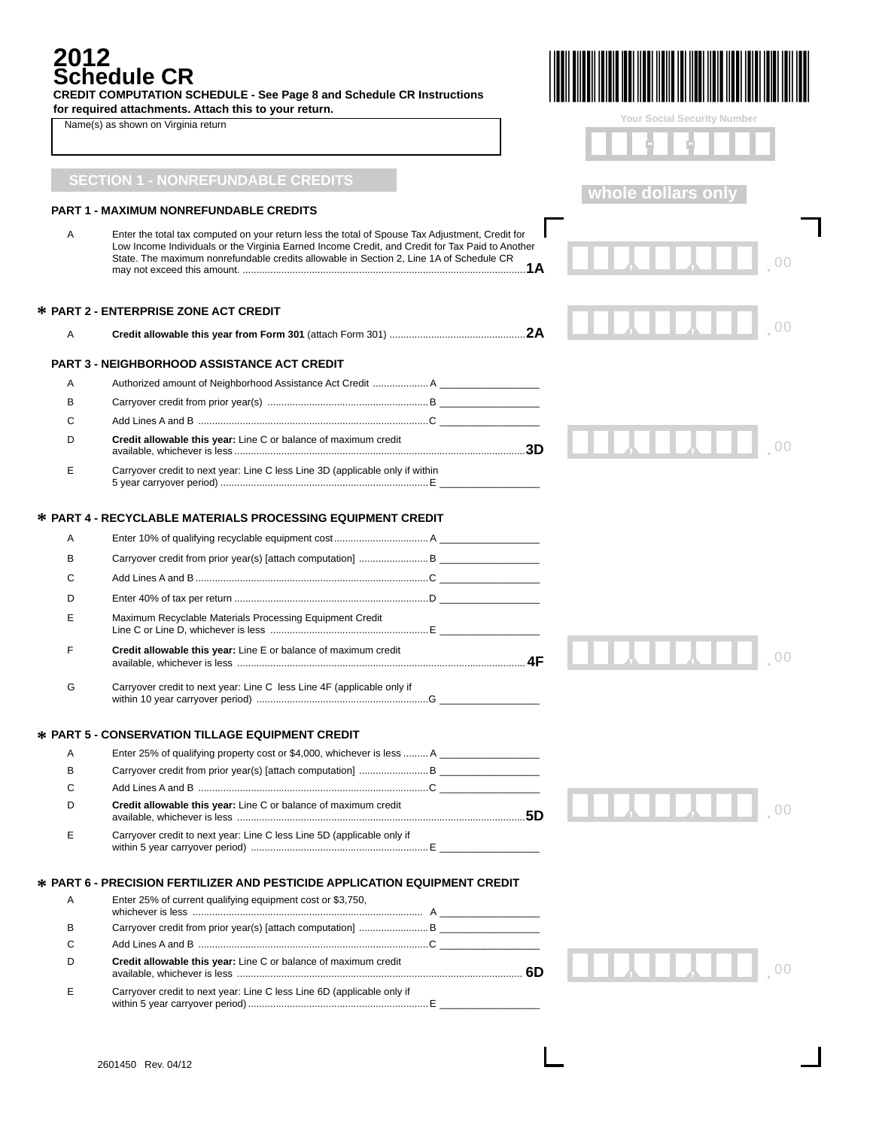## **2012** dule

| 2012 | <b>Schedule CR</b><br><b>CREDIT COMPUTATION SCHEDULE - See Page 8 and Schedule CR Instructions</b>                                                                                                                                                                                                   |                             |
|------|------------------------------------------------------------------------------------------------------------------------------------------------------------------------------------------------------------------------------------------------------------------------------------------------------|-----------------------------|
|      | for required attachments. Attach this to your return.                                                                                                                                                                                                                                                | Your Social Security Number |
|      | Name(s) as shown on Virginia return                                                                                                                                                                                                                                                                  |                             |
|      |                                                                                                                                                                                                                                                                                                      |                             |
|      | <b>SECTION 1 - NONREFUNDABLE CREDITS</b>                                                                                                                                                                                                                                                             | whole dollars only          |
|      | <b>PART 1 - MAXIMUM NONREFUNDABLE CREDITS</b>                                                                                                                                                                                                                                                        |                             |
| A    | Enter the total tax computed on your return less the total of Spouse Tax Adjustment, Credit for<br>Low Income Individuals or the Virginia Earned Income Credit, and Credit for Tax Paid to Another<br>State. The maximum nonrefundable credits allowable in Section 2, Line 1A of Schedule CR<br>.1A |                             |
|      | <b>* PART 2 - ENTERPRISE ZONE ACT CREDIT</b>                                                                                                                                                                                                                                                         |                             |
| Α    |                                                                                                                                                                                                                                                                                                      |                             |
|      |                                                                                                                                                                                                                                                                                                      |                             |
|      | PART 3 - NEIGHBORHOOD ASSISTANCE ACT CREDIT                                                                                                                                                                                                                                                          |                             |
| Α    | Authorized amount of Neighborhood Assistance Act Credit  A _____                                                                                                                                                                                                                                     |                             |
| в    |                                                                                                                                                                                                                                                                                                      |                             |
| С    |                                                                                                                                                                                                                                                                                                      |                             |
| D    | Credit allowable this year: Line C or balance of maximum credit                                                                                                                                                                                                                                      |                             |
| E    | Carryover credit to next year: Line C less Line 3D (applicable only if within                                                                                                                                                                                                                        |                             |
|      |                                                                                                                                                                                                                                                                                                      |                             |
|      | <b>* PART 4 - RECYCLABLE MATERIALS PROCESSING EQUIPMENT CREDIT</b>                                                                                                                                                                                                                                   |                             |
| A    |                                                                                                                                                                                                                                                                                                      |                             |
| в    |                                                                                                                                                                                                                                                                                                      |                             |
| С    |                                                                                                                                                                                                                                                                                                      |                             |
| D    |                                                                                                                                                                                                                                                                                                      |                             |
| Ε    | Maximum Recyclable Materials Processing Equipment Credit                                                                                                                                                                                                                                             |                             |
| F    | Credit allowable this year: Line E or balance of maximum credit                                                                                                                                                                                                                                      |                             |
| G    | Carryover credit to next year: Line C less Line 4F (applicable only if                                                                                                                                                                                                                               |                             |
|      | <b>* PART 5 - CONSERVATION TILLAGE EQUIPMENT CREDIT</b>                                                                                                                                                                                                                                              |                             |
| Α    | Enter 25% of qualifying property cost or \$4,000, whichever is less  A _____________________                                                                                                                                                                                                         |                             |
| в    |                                                                                                                                                                                                                                                                                                      |                             |
| С    |                                                                                                                                                                                                                                                                                                      |                             |
| D    | Credit allowable this year: Line C or balance of maximum credit                                                                                                                                                                                                                                      |                             |
| Ε    | Carryover credit to next year: Line C less Line 5D (applicable only if                                                                                                                                                                                                                               |                             |
|      | <b>* PART 6 - PRECISION FERTILIZER AND PESTICIDE APPLICATION EQUIPMENT CREDIT</b>                                                                                                                                                                                                                    |                             |
| Α    | Enter 25% of current qualifying equipment cost or \$3,750,                                                                                                                                                                                                                                           |                             |
| в    |                                                                                                                                                                                                                                                                                                      |                             |
| С    |                                                                                                                                                                                                                                                                                                      |                             |
| D    | Credit allowable this year: Line C or balance of maximum credit                                                                                                                                                                                                                                      | 11 J.H.J.H.                 |
| Е    | Carryover credit to next year: Line C less Line 6D (applicable only if                                                                                                                                                                                                                               |                             |

within 5 year carryover period) .................................................................E \_\_\_\_\_\_\_\_\_\_\_\_\_\_\_\_\_\_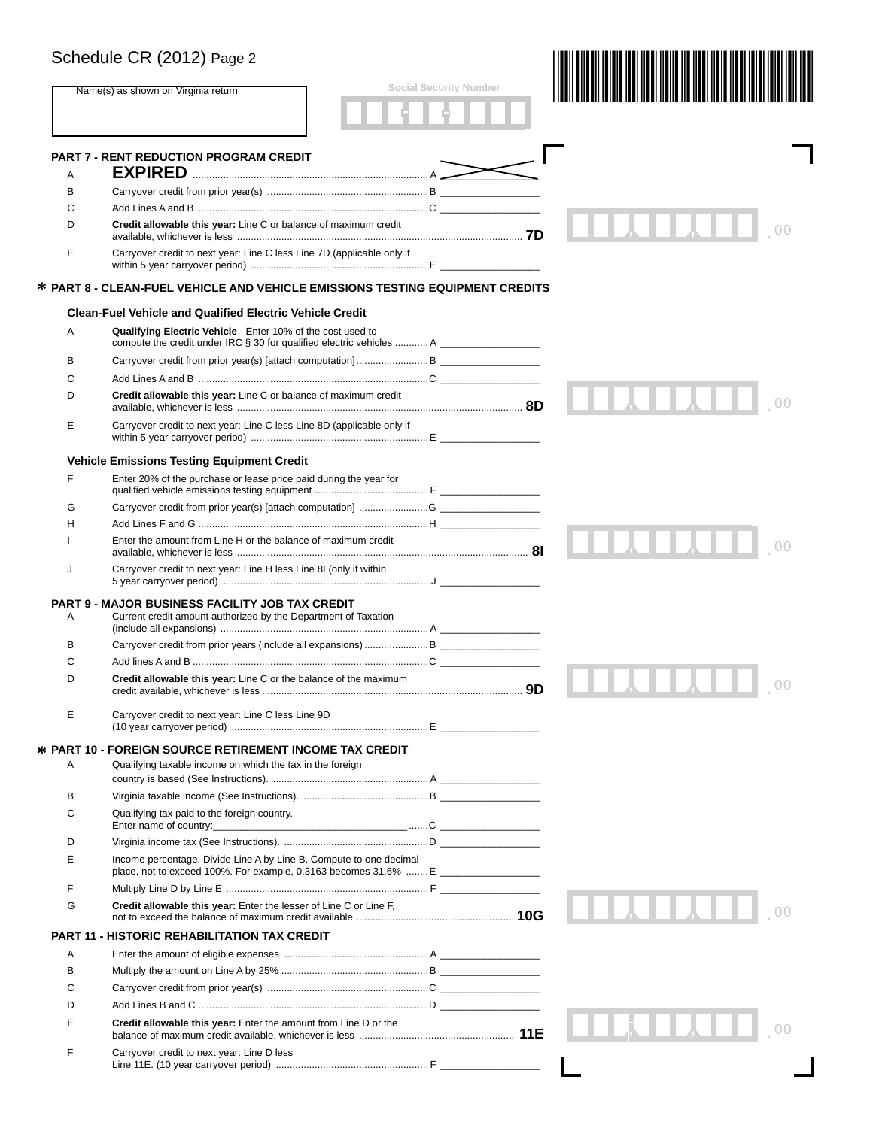|   | Schedule CR (2012) Page 2                                                                                                             |                               |                      |
|---|---------------------------------------------------------------------------------------------------------------------------------------|-------------------------------|----------------------|
|   | Name(s) as shown on Virginia return                                                                                                   | <b>Social Security Number</b> |                      |
|   |                                                                                                                                       |                               |                      |
| A | <b>PART 7 - RENT REDUCTION PROGRAM CREDIT</b>                                                                                         |                               |                      |
| в |                                                                                                                                       |                               |                      |
| C |                                                                                                                                       |                               |                      |
| D | Credit allowable this year: Line C or balance of maximum credit                                                                       |                               |                      |
| Е | Carryover credit to next year: Line C less Line 7D (applicable only if                                                                |                               |                      |
|   | * PART 8 - CLEAN-FUEL VEHICLE AND VEHICLE EMISSIONS TESTING EQUIPMENT CREDITS                                                         |                               |                      |
|   | <b>Clean-Fuel Vehicle and Qualified Electric Vehicle Credit</b>                                                                       |                               |                      |
| A | Qualifying Electric Vehicle - Enter 10% of the cost used to<br>compute the credit under IRC § 30 for qualified electric vehicles  A   |                               |                      |
| в |                                                                                                                                       |                               |                      |
| C |                                                                                                                                       |                               |                      |
| D | Credit allowable this year: Line C or balance of maximum credit                                                                       |                               |                      |
| E | Carryover credit to next year: Line C less Line 8D (applicable only if                                                                |                               |                      |
|   | <b>Vehicle Emissions Testing Equipment Credit</b>                                                                                     |                               |                      |
| F | Enter 20% of the purchase or lease price paid during the year for                                                                     |                               |                      |
| G |                                                                                                                                       |                               |                      |
| н |                                                                                                                                       |                               |                      |
| 1 | Enter the amount from Line H or the balance of maximum credit                                                                         |                               |                      |
| J | Carryover credit to next year: Line H less Line 8I (only if within                                                                    |                               |                      |
| Α | <b>PART 9 - MAJOR BUSINESS FACILITY JOB TAX CREDIT</b><br>Current credit amount authorized by the Department of Taxation              |                               |                      |
| В |                                                                                                                                       |                               |                      |
| С |                                                                                                                                       |                               |                      |
| D | Credit allowable this year: Line C or the balance of the maximum                                                                      |                               | 0 <sup>0</sup><br>ΩΩ |
| Е | Carryover credit to next year: Line C less Line 9D                                                                                    |                               |                      |
|   | <b>☆ PART 10 - FOREIGN SOURCE RETIREMENT INCOME TAX CREDIT</b>                                                                        |                               |                      |
| Α | Qualifying taxable income on which the tax in the foreign                                                                             |                               |                      |
| В |                                                                                                                                       |                               |                      |
| С | Qualifying tax paid to the foreign country.                                                                                           |                               |                      |
| D |                                                                                                                                       |                               |                      |
| E | Income percentage. Divide Line A by Line B. Compute to one decimal<br>place, not to exceed 100%. For example, 0.3163 becomes 31.6%  E |                               |                      |
| F |                                                                                                                                       |                               |                      |
| G | Credit allowable this year: Enter the lesser of Line C or Line F.                                                                     |                               |                      |
|   | <b>PART 11 - HISTORIC REHABILITATION TAX CREDIT</b>                                                                                   |                               |                      |
| Α |                                                                                                                                       |                               |                      |
| в |                                                                                                                                       |                               |                      |
| С |                                                                                                                                       |                               |                      |
| D |                                                                                                                                       |                               |                      |
| E | Credit allowable this year: Enter the amount from Line D or the                                                                       |                               |                      |
| F | Carryover credit to next year: Line D less                                                                                            |                               |                      |
|   |                                                                                                                                       |                               |                      |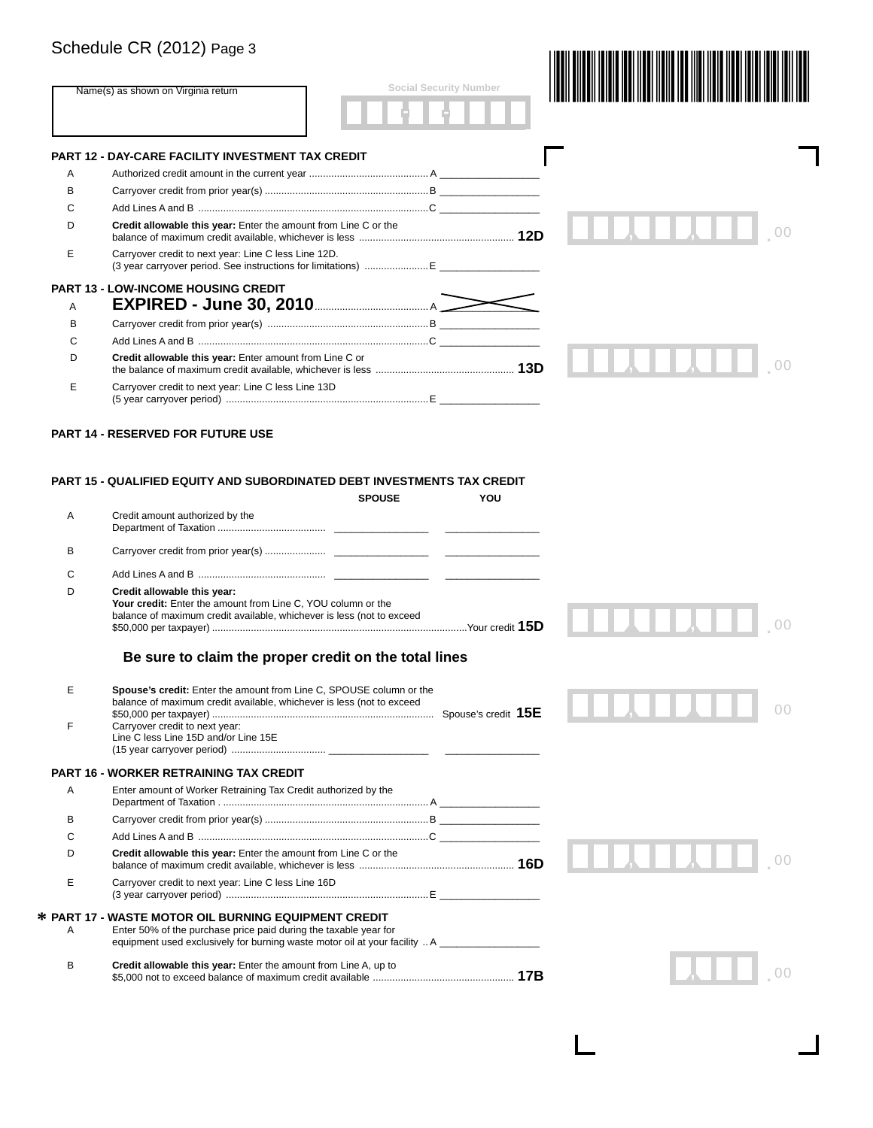# Schedule CR (2012) Page 3

|        | Name(s) as shown on Virginia return                                                                                                                                                                                                             | <b>Social Security Number</b> |    |
|--------|-------------------------------------------------------------------------------------------------------------------------------------------------------------------------------------------------------------------------------------------------|-------------------------------|----|
|        |                                                                                                                                                                                                                                                 |                               |    |
|        | PART 12 - DAY-CARE FACILITY INVESTMENT TAX CREDIT                                                                                                                                                                                               |                               |    |
| A      |                                                                                                                                                                                                                                                 |                               |    |
| в      |                                                                                                                                                                                                                                                 |                               |    |
| C      |                                                                                                                                                                                                                                                 |                               |    |
| D      | Credit allowable this year: Enter the amount from Line C or the                                                                                                                                                                                 |                               |    |
| Е      | Carryover credit to next year: Line C less Line 12D.                                                                                                                                                                                            |                               |    |
|        | <b>PART 13 - LOW-INCOME HOUSING CREDIT</b>                                                                                                                                                                                                      |                               |    |
| Α      | <b>EXPIRED - June 30, 2010</b> <u><b>Manual Alexandre Alexandre Alexandre Alexandre Alexandre Alexandre Alexandre Alexandre Alexandre Alexandre Alexandre Alexandre Alexandre Alexandre Alexandre Alexandre Alexandre Alexandre Alexand</b></u> |                               |    |
| B      |                                                                                                                                                                                                                                                 |                               |    |
| C      |                                                                                                                                                                                                                                                 |                               |    |
| D      | Credit allowable this year: Enter amount from Line C or                                                                                                                                                                                         |                               |    |
| Е      | Carryover credit to next year: Line C less Line 13D                                                                                                                                                                                             |                               |    |
|        | <b>PART 14 - RESERVED FOR FUTURE USE</b><br>PART 15 - QUALIFIED EQUITY AND SUBORDINATED DEBT INVESTMENTS TAX CREDIT                                                                                                                             |                               |    |
|        | <b>SPOUSE</b>                                                                                                                                                                                                                                   | YOU                           |    |
| Α      | Credit amount authorized by the                                                                                                                                                                                                                 |                               |    |
|        |                                                                                                                                                                                                                                                 |                               |    |
| В      |                                                                                                                                                                                                                                                 |                               |    |
| C      |                                                                                                                                                                                                                                                 |                               |    |
| D      | Credit allowable this year:<br>Your credit: Enter the amount from Line C, YOU column or the<br>balance of maximum credit available, whichever is less (not to exceed                                                                            |                               |    |
|        | Be sure to claim the proper credit on the total lines                                                                                                                                                                                           |                               |    |
| Е      | Spouse's credit: Enter the amount from Line C, SPOUSE column or the                                                                                                                                                                             |                               |    |
| F      | balance of maximum credit available, whichever is less (not to exceed<br>Carryover credit to next year:<br>Line C less Line 15D and/or Line 15E                                                                                                 |                               | 00 |
|        |                                                                                                                                                                                                                                                 |                               |    |
| Α      | PART 16 - WORKER RETRAINING TAX CREDIT<br>Enter amount of Worker Retraining Tax Credit authorized by the                                                                                                                                        |                               |    |
|        |                                                                                                                                                                                                                                                 |                               |    |
| в      |                                                                                                                                                                                                                                                 |                               |    |
| C<br>D | Credit allowable this year: Enter the amount from Line C or the                                                                                                                                                                                 |                               |    |
| Ε      | Carryover credit to next year: Line C less Line 16D                                                                                                                                                                                             |                               |    |
| Α      | <b>* PART 17 - WASTE MOTOR OIL BURNING EQUIPMENT CREDIT</b><br>Enter 50% of the purchase price paid during the taxable year for<br>equipment used exclusively for burning waste motor oil at your facility  A                                   |                               |    |

 $\Box$ 

 $\mathbf{I}$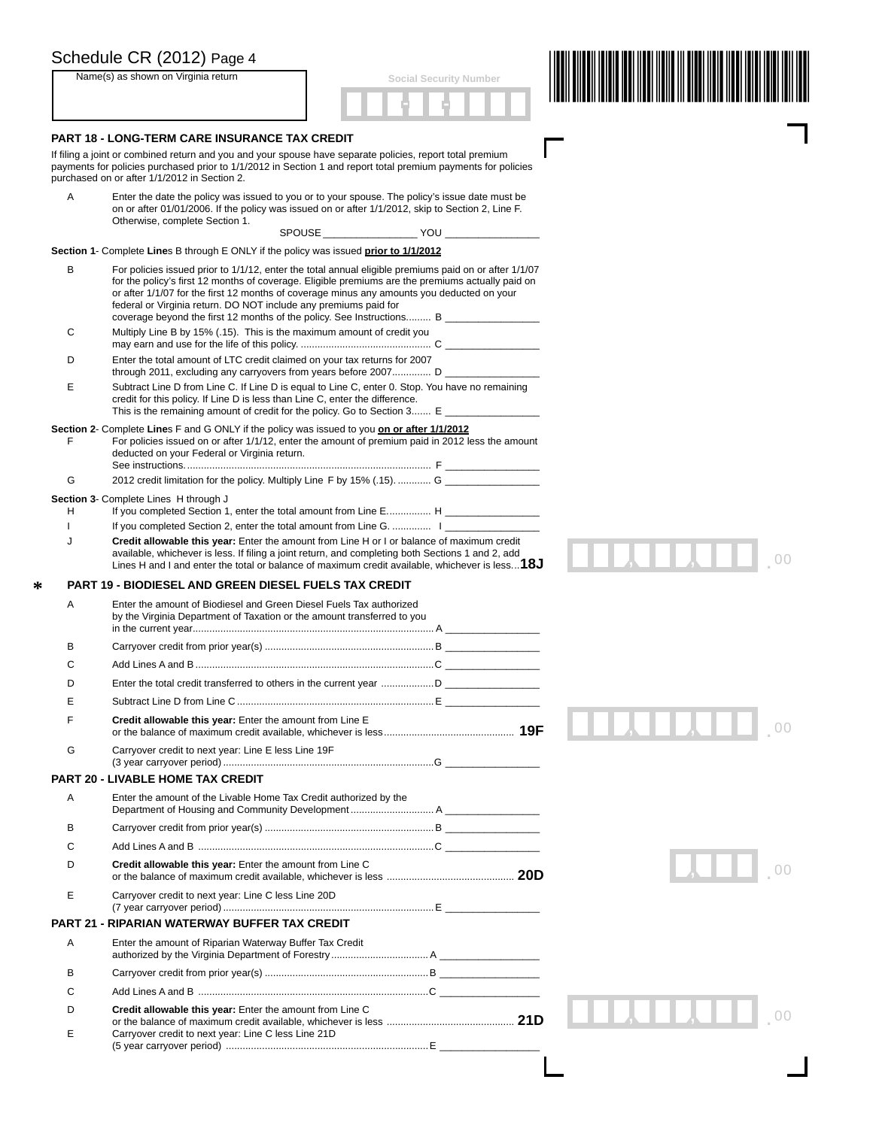|   | Schedule CR (2012) Page 4                                                                                                                                                                                                                                                  |                                                                                                                                                                                                                                                                                                                                                                                                        |  |
|---|----------------------------------------------------------------------------------------------------------------------------------------------------------------------------------------------------------------------------------------------------------------------------|--------------------------------------------------------------------------------------------------------------------------------------------------------------------------------------------------------------------------------------------------------------------------------------------------------------------------------------------------------------------------------------------------------|--|
|   | Name(s) as shown on Virginia return                                                                                                                                                                                                                                        | <b>Social Security Number</b>                                                                                                                                                                                                                                                                                                                                                                          |  |
|   |                                                                                                                                                                                                                                                                            |                                                                                                                                                                                                                                                                                                                                                                                                        |  |
|   | PART 18 - LONG-TERM CARE INSURANCE TAX CREDIT                                                                                                                                                                                                                              |                                                                                                                                                                                                                                                                                                                                                                                                        |  |
|   | If filing a joint or combined return and you and your spouse have separate policies, report total premium<br>payments for policies purchased prior to 1/1/2012 in Section 1 and report total premium payments for policies<br>purchased on or after 1/1/2012 in Section 2. |                                                                                                                                                                                                                                                                                                                                                                                                        |  |
| Α | Otherwise, complete Section 1.                                                                                                                                                                                                                                             | Enter the date the policy was issued to you or to your spouse. The policy's issue date must be<br>on or after 01/01/2006. If the policy was issued on or after 1/1/2012, skip to Section 2, Line F.                                                                                                                                                                                                    |  |
|   |                                                                                                                                                                                                                                                                            |                                                                                                                                                                                                                                                                                                                                                                                                        |  |
|   | Section 1- Complete Lines B through E ONLY if the policy was issued prior to 1/1/2012                                                                                                                                                                                      |                                                                                                                                                                                                                                                                                                                                                                                                        |  |
| в | federal or Virginia return. DO NOT include any premiums paid for                                                                                                                                                                                                           | For policies issued prior to 1/1/12, enter the total annual eligible premiums paid on or after 1/1/07<br>for the policy's first 12 months of coverage. Eligible premiums are the premiums actually paid on<br>or after 1/1/07 for the first 12 months of coverage minus any amounts you deducted on your<br>coverage beyond the first 12 months of the policy. See Instructions B ____________________ |  |
| С | Multiply Line B by 15% (.15). This is the maximum amount of credit you                                                                                                                                                                                                     |                                                                                                                                                                                                                                                                                                                                                                                                        |  |
| D | Enter the total amount of LTC credit claimed on your tax returns for 2007                                                                                                                                                                                                  | through 2011, excluding any carryovers from years before 2007 D ____________________                                                                                                                                                                                                                                                                                                                   |  |
| Е | credit for this policy. If Line D is less than Line C, enter the difference.                                                                                                                                                                                               | Subtract Line D from Line C. If Line D is equal to Line C, enter 0. Stop. You have no remaining<br>This is the remaining amount of credit for the policy. Go to Section 3 E                                                                                                                                                                                                                            |  |
| F | Section 2- Complete Lines F and G ONLY if the policy was issued to you on or after 1/1/2012<br>deducted on your Federal or Virginia return.                                                                                                                                | For policies issued on or after 1/1/12, enter the amount of premium paid in 2012 less the amount                                                                                                                                                                                                                                                                                                       |  |
| G |                                                                                                                                                                                                                                                                            | 2012 credit limitation for the policy. Multiply Line F by 15% (.15) G                                                                                                                                                                                                                                                                                                                                  |  |
| н | Section 3- Complete Lines H through J                                                                                                                                                                                                                                      | If you completed Section 1, enter the total amount from Line E H                                                                                                                                                                                                                                                                                                                                       |  |
|   |                                                                                                                                                                                                                                                                            | If you completed Section 2, enter the total amount from Line G.                                                                                                                                                                                                                                                                                                                                        |  |
| J |                                                                                                                                                                                                                                                                            | Credit allowable this year: Enter the amount from Line H or I or balance of maximum credit<br>available, whichever is less. If filing a joint return, and completing both Sections 1 and 2, add<br>Lines H and I and enter the total or balance of maximum credit available, whichever is less $18J$                                                                                                   |  |
|   | <b>PART 19 - BIODIESEL AND GREEN DIESEL FUELS TAX CREDIT</b>                                                                                                                                                                                                               |                                                                                                                                                                                                                                                                                                                                                                                                        |  |
| Α | Enter the amount of Biodiesel and Green Diesel Fuels Tax authorized<br>by the Virginia Department of Taxation or the amount transferred to you                                                                                                                             |                                                                                                                                                                                                                                                                                                                                                                                                        |  |
| B |                                                                                                                                                                                                                                                                            |                                                                                                                                                                                                                                                                                                                                                                                                        |  |
| C |                                                                                                                                                                                                                                                                            |                                                                                                                                                                                                                                                                                                                                                                                                        |  |
|   |                                                                                                                                                                                                                                                                            |                                                                                                                                                                                                                                                                                                                                                                                                        |  |
| Е |                                                                                                                                                                                                                                                                            |                                                                                                                                                                                                                                                                                                                                                                                                        |  |
| F | Credit allowable this year: Enter the amount from Line E                                                                                                                                                                                                                   |                                                                                                                                                                                                                                                                                                                                                                                                        |  |
| G | Carryover credit to next year: Line E less Line 19F                                                                                                                                                                                                                        |                                                                                                                                                                                                                                                                                                                                                                                                        |  |
|   | <b>PART 20 - LIVABLE HOME TAX CREDIT</b>                                                                                                                                                                                                                                   |                                                                                                                                                                                                                                                                                                                                                                                                        |  |
| A | Enter the amount of the Livable Home Tax Credit authorized by the                                                                                                                                                                                                          |                                                                                                                                                                                                                                                                                                                                                                                                        |  |
| B |                                                                                                                                                                                                                                                                            |                                                                                                                                                                                                                                                                                                                                                                                                        |  |
| C |                                                                                                                                                                                                                                                                            |                                                                                                                                                                                                                                                                                                                                                                                                        |  |
| D | Credit allowable this year: Enter the amount from Line C                                                                                                                                                                                                                   |                                                                                                                                                                                                                                                                                                                                                                                                        |  |
| Ε | Carryover credit to next year: Line C less Line 20D                                                                                                                                                                                                                        |                                                                                                                                                                                                                                                                                                                                                                                                        |  |
|   | <b>PART 21 - RIPARIAN WATERWAY BUFFER TAX CREDIT</b>                                                                                                                                                                                                                       |                                                                                                                                                                                                                                                                                                                                                                                                        |  |
| Α | Enter the amount of Riparian Waterway Buffer Tax Credit                                                                                                                                                                                                                    |                                                                                                                                                                                                                                                                                                                                                                                                        |  |
| B |                                                                                                                                                                                                                                                                            |                                                                                                                                                                                                                                                                                                                                                                                                        |  |
|   |                                                                                                                                                                                                                                                                            |                                                                                                                                                                                                                                                                                                                                                                                                        |  |

<sup>00</sup> . , ,

 $\overline{\phantom{a}}$ 

| Add Lines A and B …………………………………………………………………………………………C           |  |
|-----------------------------------------------------------------|--|
| <b>Credit allowable this year:</b> Enter the amount from Line C |  |
|                                                                 |  |
| Carryover credit to next year: Line C less Line 21D             |  |
|                                                                 |  |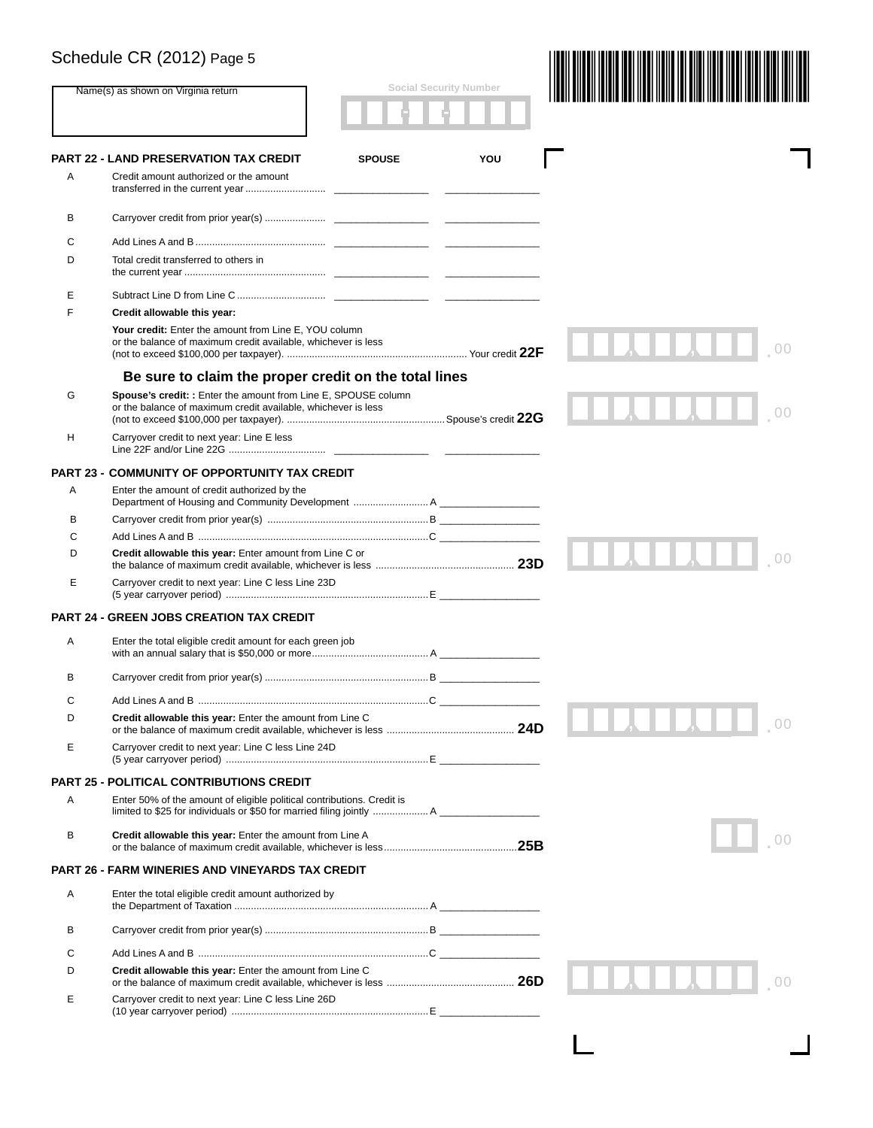### Schedule CR (2012) Page 5 (2012) 200 | 200 | 2012 | 2013 | 2014 | 2015 | 2016 | 2017 | 2018 | 2019 | 2019 | 20

|   |                                                                                                                                 |               | <b>Social Security Number</b> |              |
|---|---------------------------------------------------------------------------------------------------------------------------------|---------------|-------------------------------|--------------|
|   | Name(s) as shown on Virginia return                                                                                             |               |                               |              |
|   | <b>PART 22 - LAND PRESERVATION TAX CREDIT</b>                                                                                   | <b>SPOUSE</b> | YOU                           |              |
| Α | Credit amount authorized or the amount                                                                                          |               |                               |              |
| В |                                                                                                                                 |               |                               |              |
| С |                                                                                                                                 |               |                               |              |
| D | Total credit transferred to others in                                                                                           |               |                               |              |
| E |                                                                                                                                 |               |                               |              |
| F | Credit allowable this year:                                                                                                     |               |                               |              |
|   | Your credit: Enter the amount from Line E, YOU column<br>or the balance of maximum credit available, whichever is less          |               |                               |              |
|   | Be sure to claim the proper credit on the total lines                                                                           |               |                               |              |
| G | Spouse's credit: : Enter the amount from Line E, SPOUSE column<br>or the balance of maximum credit available, whichever is less |               |                               |              |
| н | Carryover credit to next year: Line E less                                                                                      |               |                               |              |
|   | <b>PART 23 - COMMUNITY OF OPPORTUNITY TAX CREDIT</b>                                                                            |               |                               |              |
| A | Enter the amount of credit authorized by the                                                                                    |               |                               |              |
| В |                                                                                                                                 |               |                               |              |
| С |                                                                                                                                 |               |                               |              |
| D | Credit allowable this year: Enter amount from Line C or                                                                         |               |                               |              |
| Е | Carryover credit to next year: Line C less Line 23D                                                                             |               |                               |              |
|   | <b>PART 24 - GREEN JOBS CREATION TAX CREDIT</b>                                                                                 |               |                               |              |
| Α | Enter the total eligible credit amount for each green job                                                                       |               |                               |              |
| в |                                                                                                                                 |               |                               |              |
| С |                                                                                                                                 |               |                               |              |
| D | Credit allowable this year: Enter the amount from Line C                                                                        |               |                               |              |
| Е | Carryover credit to next year: Line C less Line 24D                                                                             |               |                               |              |
|   | <b>PART 25 - POLITICAL CONTRIBUTIONS CREDIT</b>                                                                                 |               |                               |              |
| Α | Enter 50% of the amount of eligible political contributions. Credit is                                                          |               |                               |              |
| в | Credit allowable this year: Enter the amount from Line A                                                                        |               |                               |              |
|   | <b>PART 26 - FARM WINERIES AND VINEYARDS TAX CREDIT</b>                                                                         |               |                               |              |
| Α | Enter the total eligible credit amount authorized by                                                                            |               |                               |              |
| в |                                                                                                                                 |               |                               |              |
| С |                                                                                                                                 |               |                               |              |
| D | Credit allowable this year: Enter the amount from Line C                                                                        |               |                               | <b>ALLAH</b> |
| Е | Carryover credit to next year: Line C less Line 26D                                                                             |               |                               |              |
|   |                                                                                                                                 |               |                               |              |

 $\mathbf{L}$ 

 $\Box$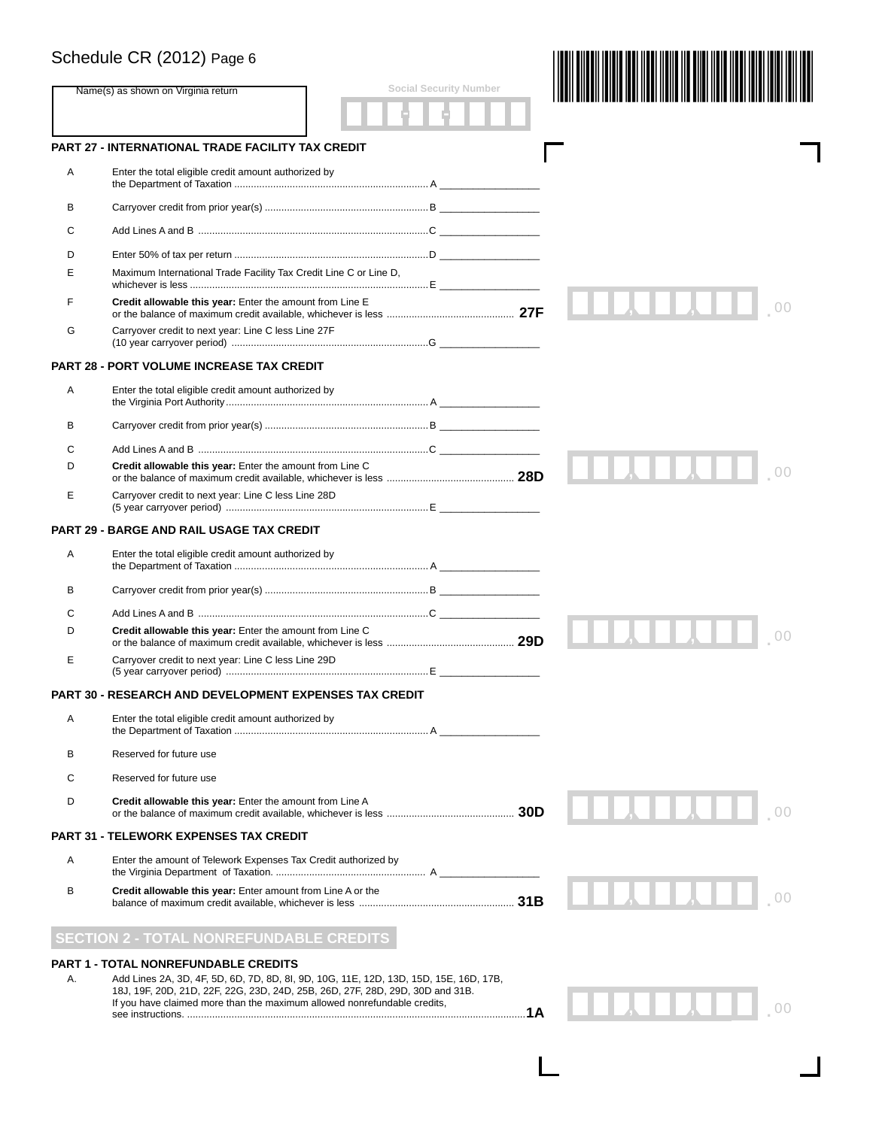### Schedule CR (2012) Page 6

|    | Schedule CR (2012) Page 6                                                                                                                                                                                                                          |  |  |     |  |
|----|----------------------------------------------------------------------------------------------------------------------------------------------------------------------------------------------------------------------------------------------------|--|--|-----|--|
|    | <b>Social Security Number</b><br>Name(s) as shown on Virginia return                                                                                                                                                                               |  |  |     |  |
|    |                                                                                                                                                                                                                                                    |  |  |     |  |
|    | <b>PART 27 - INTERNATIONAL TRADE FACILITY TAX CREDIT</b>                                                                                                                                                                                           |  |  |     |  |
| A  | Enter the total eligible credit amount authorized by                                                                                                                                                                                               |  |  |     |  |
| в  |                                                                                                                                                                                                                                                    |  |  |     |  |
| С  | Add Lines A and B …………………………………………………………………………………C                                                                                                                                                                                                 |  |  |     |  |
| D  |                                                                                                                                                                                                                                                    |  |  |     |  |
| Е  | Maximum International Trade Facility Tax Credit Line C or Line D,                                                                                                                                                                                  |  |  |     |  |
| F  | Credit allowable this year: Enter the amount from Line E                                                                                                                                                                                           |  |  |     |  |
| G  | Carryover credit to next year: Line C less Line 27F                                                                                                                                                                                                |  |  |     |  |
|    | <b>PART 28 - PORT VOLUME INCREASE TAX CREDIT</b>                                                                                                                                                                                                   |  |  |     |  |
| Α  | Enter the total eligible credit amount authorized by                                                                                                                                                                                               |  |  |     |  |
| В  |                                                                                                                                                                                                                                                    |  |  |     |  |
| C  |                                                                                                                                                                                                                                                    |  |  |     |  |
| D  | Credit allowable this year: Enter the amount from Line C                                                                                                                                                                                           |  |  |     |  |
| Е  | Carryover credit to next year: Line C less Line 28D                                                                                                                                                                                                |  |  |     |  |
|    | PART 29 - BARGE AND RAIL USAGE TAX CREDIT                                                                                                                                                                                                          |  |  |     |  |
| Α  | Enter the total eligible credit amount authorized by                                                                                                                                                                                               |  |  |     |  |
| в  |                                                                                                                                                                                                                                                    |  |  |     |  |
| С  |                                                                                                                                                                                                                                                    |  |  |     |  |
| D  | Credit allowable this year: Enter the amount from Line C                                                                                                                                                                                           |  |  |     |  |
| Е  | Carryover credit to next year: Line C less Line 29D                                                                                                                                                                                                |  |  |     |  |
|    | PART 30 - RESEARCH AND DEVELOPMENT EXPENSES TAX CREDIT                                                                                                                                                                                             |  |  |     |  |
| A  | Enter the total eligible credit amount authorized by                                                                                                                                                                                               |  |  |     |  |
| в  | Reserved for future use                                                                                                                                                                                                                            |  |  |     |  |
| С  | Reserved for future use                                                                                                                                                                                                                            |  |  |     |  |
| D  | Credit allowable this year: Enter the amount from Line A                                                                                                                                                                                           |  |  |     |  |
|    | <b>PART 31 - TELEWORK EXPENSES TAX CREDIT</b>                                                                                                                                                                                                      |  |  |     |  |
| Α  | Enter the amount of Telework Expenses Tax Credit authorized by                                                                                                                                                                                     |  |  |     |  |
| в  | Credit allowable this year: Enter amount from Line A or the                                                                                                                                                                                        |  |  |     |  |
|    | <b>SECTION 2 - TOTAL NONREFUNDABLE CREDITS</b>                                                                                                                                                                                                     |  |  |     |  |
|    | <b>PART 1 - TOTAL NONREFUNDABLE CREDITS</b>                                                                                                                                                                                                        |  |  |     |  |
| Α. | Add Lines 2A, 3D, 4F, 5D, 6D, 7D, 8D, 8I, 9D, 10G, 11E, 12D, 13D, 15D, 15E, 16D, 17B,<br>18J, 19F, 20D, 21D, 22F, 22G, 23D, 24D, 25B, 26D, 27F, 28D, 29D, 30D and 31B.<br>If you have claimed more than the maximum allowed nonrefundable credits, |  |  | 1 A |  |
|    |                                                                                                                                                                                                                                                    |  |  |     |  |

L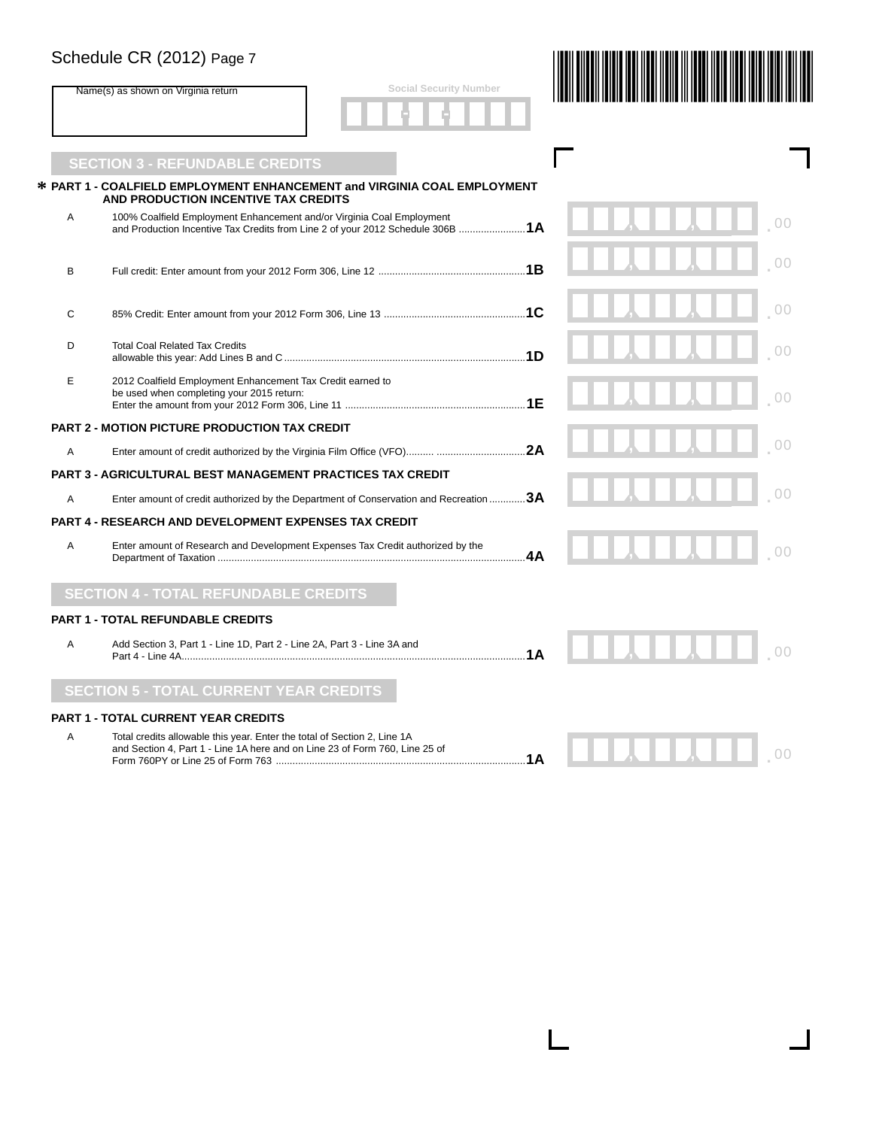#### Schedule CR (2012) Page 7

|   | Schedule CR (2012) Page 7                                                                                                                                |                |
|---|----------------------------------------------------------------------------------------------------------------------------------------------------------|----------------|
|   | <b>Social Security Number</b><br>Name(s) as shown on Virginia return                                                                                     |                |
|   | <b>SECTION 3 - REFUNDABLE CREDITS</b>                                                                                                                    |                |
|   | * PART 1 - COALFIELD EMPLOYMENT ENHANCEMENT and VIRGINIA COAL EMPLOYMENT<br>AND PRODUCTION INCENTIVE TAX CREDITS                                         |                |
| Α | 100% Coalfield Employment Enhancement and/or Virginia Coal Employment<br>and Production Incentive Tax Credits from Line 2 of your 2012 Schedule 306B  1A | 0 <sup>0</sup> |
| в |                                                                                                                                                          | 0 <sup>0</sup> |
| C |                                                                                                                                                          | 0 <sup>0</sup> |
| D | <b>Total Coal Related Tax Credits</b>                                                                                                                    | 00             |
| E | 2012 Coalfield Employment Enhancement Tax Credit earned to<br>be used when completing your 2015 return:                                                  | 0 <sup>0</sup> |
|   | <b>PART 2 - MOTION PICTURE PRODUCTION TAX CREDIT</b>                                                                                                     |                |
| A |                                                                                                                                                          | 00             |
|   | <b>PART 3 - AGRICULTURAL BEST MANAGEMENT PRACTICES TAX CREDIT</b>                                                                                        |                |
| Α | Enter amount of credit authorized by the Department of Conservation and Recreation 3A                                                                    | 0 <sup>0</sup> |
|   | <b>PART 4 - RESEARCH AND DEVELOPMENT EXPENSES TAX CREDIT</b>                                                                                             |                |
| A | Enter amount of Research and Development Expenses Tax Credit authorized by the                                                                           |                |
|   | <b>SECTION 4 - TOTAL REFUNDABLE CREDITS</b>                                                                                                              |                |
|   | <b>PART 1 - TOTAL REFUNDABLE CREDITS</b>                                                                                                                 |                |
| A | Add Section 3, Part 1 - Line 1D, Part 2 - Line 2A, Part 3 - Line 3A and                                                                                  |                |
|   | <b>SECTION 5 - TOTAL CURRENT YEAR CREDITS</b>                                                                                                            |                |
|   | <b>PART 1 - TOTAL CURRENT YEAR CREDITS</b>                                                                                                               |                |
| Α | Total credits allowable this year. Enter the total of Section 2, Line 1A<br>and Section 4, Part 1 - Line 1A here and on Line 23 of Form 760, Line 25 of  | 00<br>1Α       |